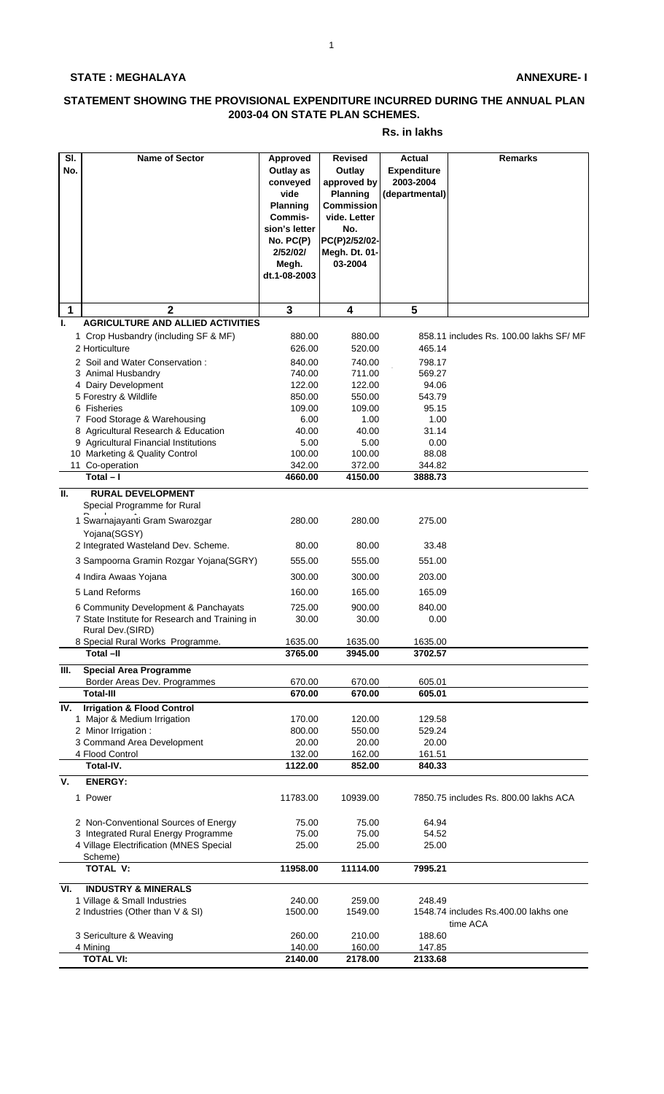## **STATE : MEGHALAYA**

## **ANNEXURE- I**

## **STATEMENT SHOWING THE PROVISIONAL EXPENDITURE INCURRED DURING THE ANNUAL PLAN 2003-04 ON STATE PLAN SCHEMES.**

## **Rs. in lakhs**

| $\overline{\mathsf{SI}}$ . | <b>Name of Sector</b>                               | <b>Approved</b>       | <b>Revised</b>    | <b>Actual</b>      | <b>Remarks</b>                          |
|----------------------------|-----------------------------------------------------|-----------------------|-------------------|--------------------|-----------------------------------------|
| No.                        |                                                     | Outlay as             | Outlay            | <b>Expenditure</b> |                                         |
|                            |                                                     | conveyed              | approved by       | 2003-2004          |                                         |
|                            |                                                     | vide                  | Planning          | (departmental)     |                                         |
|                            |                                                     | <b>Planning</b>       | <b>Commission</b> |                    |                                         |
|                            |                                                     | Commis-               | vide. Letter      |                    |                                         |
|                            |                                                     | sion's letter         | No.               |                    |                                         |
|                            |                                                     | No. PC(P)             | PC(P)2/52/02-     |                    |                                         |
|                            |                                                     | 2/52/02/              | Megh. Dt. 01-     |                    |                                         |
|                            |                                                     |                       | 03-2004           |                    |                                         |
|                            |                                                     | Megh.<br>dt.1-08-2003 |                   |                    |                                         |
|                            |                                                     |                       |                   |                    |                                         |
|                            |                                                     |                       |                   |                    |                                         |
| 1                          | $\mathbf{2}$                                        | $\mathbf{3}$          | 4                 | 5                  |                                         |
| Ι.                         | <b>AGRICULTURE AND ALLIED ACTIVITIES</b>            |                       |                   |                    |                                         |
|                            | 1 Crop Husbandry (including SF & MF)                | 880.00                | 880.00            |                    | 858.11 includes Rs. 100.00 lakhs SF/ MF |
|                            | 2 Horticulture                                      | 626.00                | 520.00            | 465.14             |                                         |
|                            |                                                     |                       |                   |                    |                                         |
|                            | 2 Soil and Water Conservation:                      | 840.00                | 740.00            | 798.17             |                                         |
|                            | 3 Animal Husbandry                                  | 740.00                | 711.00            | 569.27             |                                         |
|                            | 4 Dairy Development                                 | 122.00                | 122.00            | 94.06              |                                         |
|                            | 5 Forestry & Wildlife                               | 850.00                | 550.00            | 543.79             |                                         |
|                            | 6 Fisheries                                         | 109.00                | 109.00            | 95.15              |                                         |
|                            | 7 Food Storage & Warehousing                        | 6.00                  | 1.00              | 1.00               |                                         |
|                            | 8 Agricultural Research & Education                 | 40.00                 | 40.00             | 31.14              |                                         |
|                            | 9 Agricultural Financial Institutions               | 5.00                  | 5.00              | 0.00               |                                         |
|                            | 10 Marketing & Quality Control                      | 100.00                | 100.00            | 88.08              |                                         |
|                            | 11 Co-operation                                     | 342.00                | 372.00            | 344.82             |                                         |
|                            | $Total - I$                                         | 4660.00               | 4150.00           | 3888.73            |                                         |
| II.                        | <b>RURAL DEVELOPMENT</b>                            |                       |                   |                    |                                         |
|                            | Special Programme for Rural                         |                       |                   |                    |                                         |
|                            | 1 Swarnajayanti Gram Swarozgar                      | 280.00                | 280.00            | 275.00             |                                         |
|                            |                                                     |                       |                   |                    |                                         |
|                            | Yojana(SGSY)<br>2 Integrated Wasteland Dev. Scheme. | 80.00                 | 80.00             | 33.48              |                                         |
|                            |                                                     |                       |                   |                    |                                         |
|                            | 3 Sampoorna Gramin Rozgar Yojana(SGRY)              | 555.00                | 555.00            | 551.00             |                                         |
|                            | 4 Indira Awaas Yojana                               | 300.00                | 300.00            | 203.00             |                                         |
|                            | 5 Land Reforms                                      | 160.00                | 165.00            | 165.09             |                                         |
|                            |                                                     |                       |                   |                    |                                         |
|                            | 6 Community Development & Panchayats                | 725.00                | 900.00            | 840.00             |                                         |
|                            | 7 State Institute for Research and Training in      | 30.00                 | 30.00             | 0.00               |                                         |
|                            | Rural Dev.(SIRD)                                    |                       |                   |                    |                                         |
|                            | 8 Special Rural Works Programme.                    | 1635.00               | 1635.00           | 1635.00            |                                         |
|                            | Total -II                                           | 3765.00               | 3945.00           | 3702.57            |                                         |
| Ш.                         | <b>Special Area Programme</b>                       |                       |                   |                    |                                         |
|                            | Border Areas Dev. Programmes                        | 670.00                | 670.00            | 605.01             |                                         |
|                            | <b>Total-III</b>                                    | 670.00                | 670.00            | 605.01             |                                         |
| IV.                        | <b>Irrigation &amp; Flood Control</b>               |                       |                   |                    |                                         |
|                            | 1 Major & Medium Irrigation                         | 170.00                | 120.00            | 129.58             |                                         |
|                            | 2 Minor Irrigation:                                 | 800.00                | 550.00            | 529.24             |                                         |
|                            | 3 Command Area Development                          | 20.00                 | 20.00             | 20.00              |                                         |
|                            | 4 Flood Control                                     | 132.00                | 162.00            | 161.51             |                                         |
|                            | Total-IV.                                           | 1122.00               | 852.00            | 840.33             |                                         |
| V.                         | <b>ENERGY:</b>                                      |                       |                   |                    |                                         |
|                            |                                                     |                       |                   |                    |                                         |
|                            | 1 Power                                             | 11783.00              | 10939.00          |                    | 7850.75 includes Rs. 800.00 lakhs ACA   |
|                            |                                                     |                       |                   |                    |                                         |
|                            | 2 Non-Conventional Sources of Energy                | 75.00                 | 75.00             | 64.94              |                                         |
|                            | 3 Integrated Rural Energy Programme                 | 75.00                 | 75.00             | 54.52              |                                         |
|                            | 4 Village Electrification (MNES Special             | 25.00                 | 25.00             | 25.00              |                                         |
|                            | Scheme)                                             |                       |                   |                    |                                         |
|                            | <b>TOTAL V:</b>                                     | 11958.00              | 11114.00          | 7995.21            |                                         |
|                            |                                                     |                       |                   |                    |                                         |
| VI.                        | <b>INDUSTRY &amp; MINERALS</b>                      |                       |                   |                    |                                         |
|                            | 1 Village & Small Industries                        | 240.00                | 259.00            | 248.49             |                                         |
|                            | 2 Industries (Other than V & SI)                    | 1500.00               | 1549.00           |                    | 1548.74 includes Rs.400.00 lakhs one    |
|                            |                                                     |                       |                   |                    | time ACA                                |
|                            | 3 Sericulture & Weaving                             | 260.00                | 210.00            | 188.60             |                                         |
|                            | 4 Mining<br><b>TOTAL VI:</b>                        | 140.00                | 160.00            | 147.85             |                                         |
|                            |                                                     | 2140.00               | 2178.00           | 2133.68            |                                         |